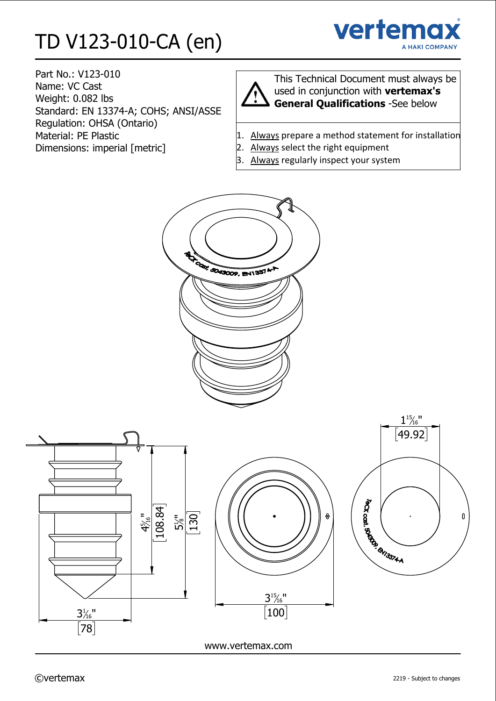# TD V123-010-CA (en)



Part No.: V123-010 Name: VC Cast Weight: 0.082 lbs Standard: EN 13374-A; COHS; ANSI/ASSE Regulation: OHSA (Ontario) Material: PE Plastic Dimensions: imperial [metric]



This Technical Document must always be used in conjunction with **vertemax's General Qualifications** -See below

- 1. Always prepare a method statement for installation
- 2. Always select the right equipment
- 3. Always regularly inspect your system

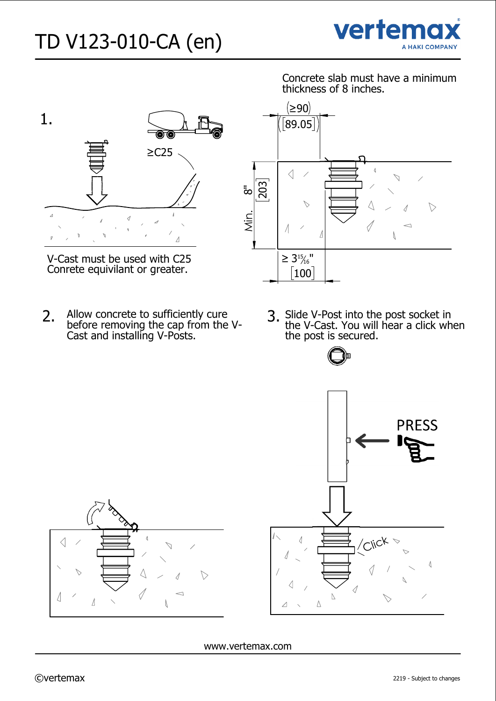



V-Cast must be used with C25 Conrete equivilant or greater.

before removing the cap from the V-Cast and installing V-Posts.

Concrete slab must have a minimum thickness of 8 inches.



Slide V-Post into the post socket in the V-Cast. You will hear a click when the post is secured.





www.vertemax.com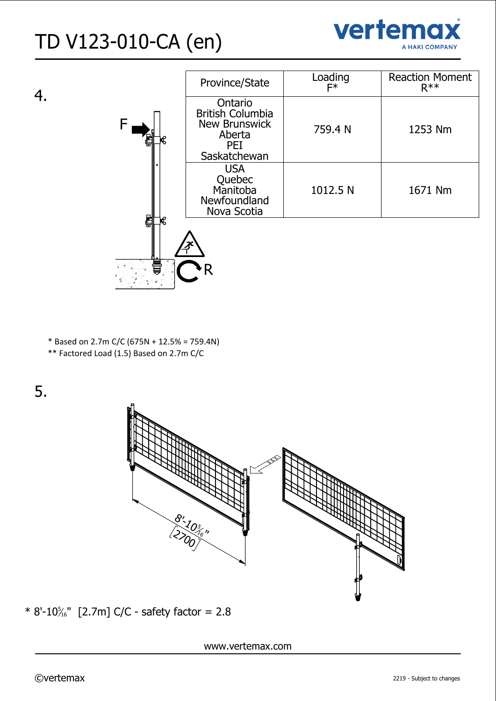



|        | Province/State                                                                              | Loading<br>F* | <b>Reaction Moment</b><br>$R***$ |  |
|--------|---------------------------------------------------------------------------------------------|---------------|----------------------------------|--|
| F      | Ontario<br><b>British Columbia</b><br><b>New Brunswick</b><br>Aberta<br>PEI<br>Saskatchewan | 759.4 N       | 1253 Nm                          |  |
|        | <b>USA</b><br>Quebec<br>Manitoba<br>Newfoundland<br>Nova Scotia                             | 1012.5 N      | 1671 Nm                          |  |
| 冒<br>R |                                                                                             |               |                                  |  |

\* Based on 2.7m C/C (675N + 12.5% = 759.4N)

\*\* Factored Load (1.5) Based on 2.7m C/C

5.



 $*$  8'-10 $\frac{5}{16}$ " [2.7m] C/C - safety factor = 2.8

www.vertemax.com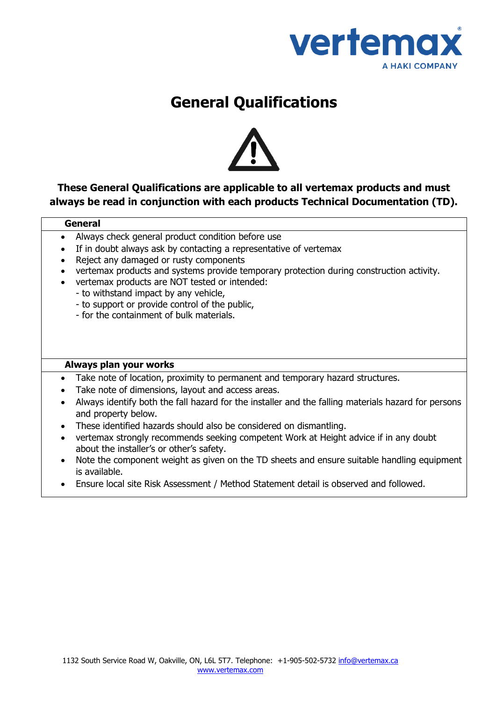

## **General Qualifications**



### **These General Qualifications are applicable to all [vertemax](http://www.tammet-systems.ca/) products and must always be read in conjunction with each products Technical Documentation (TD).**

#### **General**

- Always check general product condition before use
- If in doubt always ask by contacting a representative of [vertemax](http://www.tammet-systems.ca/)
- Reject any damaged or rusty components
- [vertemax](http://www.tammet-systems.ca/) products and systems provide temporary protection during construction activity.
- [vertemax](http://www.tammet-systems.ca/) products are NOT tested or intended:
	- to withstand impact by any vehicle,
	- to support or provide control of the public,
	- for the containment of bulk materials.

#### **Always plan your works**

- Take note of location, proximity to permanent and temporary hazard structures.
- Take note of dimensions, layout and access areas.
- Always identify both the fall hazard for the installer and the falling materials hazard for persons and property below.
- These identified hazards should also be considered on dismantling.
- [vertemax](http://www.tammet-systems.ca/) strongly recommends seeking competent Work at Height advice if in any doubt about the installer's or other's safety.
- Note the component weight as given on the TD sheets and ensure suitable handling equipment is available.
- Ensure local site Risk Assessment / Method Statement detail is observed and followed.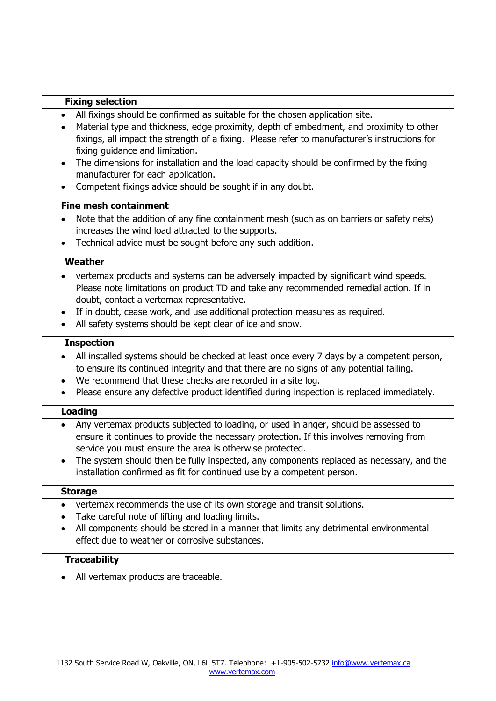#### **Fixing selection**

- All fixings should be confirmed as suitable for the chosen application site.
- Material type and thickness, edge proximity, depth of embedment, and proximity to other fixings, all impact the strength of a fixing. Please refer to manufacturer's instructions for fixing guidance and limitation.
- The dimensions for installation and the load capacity should be confirmed by the fixing manufacturer for each application.
- Competent fixings advice should be sought if in any doubt.

#### **Fine mesh containment**

- Note that the addition of any fine containment mesh (such as on barriers or safety nets) increases the wind load attracted to the supports.
- Technical advice must be sought before any such addition.

#### **Weather**

- [vertemax](http://www.tammet-systems.ca/) products and systems can be adversely impacted by significant wind speeds. Please note limitations on product TD and take any recommended remedial action. If in doubt, contact a [vertemax](http://www.tammet-systems.ca/) representative.
- If in doubt, cease work, and use additional protection measures as required.
- All safety systems should be kept clear of ice and snow.

#### **Inspection**

- All installed systems should be checked at least once every 7 days by a competent person, to ensure its continued integrity and that there are no signs of any potential failing.
- We recommend that these checks are recorded in a site log.
- Please ensure any defective product identified during inspection is replaced immediately.

#### **Loading**

- Any [vertemax](http://www.tammet-systems.ca/) products subjected to loading, or used in anger, should be assessed to ensure it continues to provide the necessary protection. If this involves removing from service you must ensure the area is otherwise protected.
- The system should then be fully inspected, any components replaced as necessary, and the installation confirmed as fit for continued use by a competent person.

#### **Storage**

- [vertemax](http://www.tammet-systems.ca/) recommends the use of its own storage and transit solutions.
- Take careful note of lifting and loading limits.
- All components should be stored in a manner that limits any detrimental environmental effect due to weather or corrosive substances.

#### **Traceability**

• All [vertemax](http://www.tammet-systems.ca/) products are traceable.